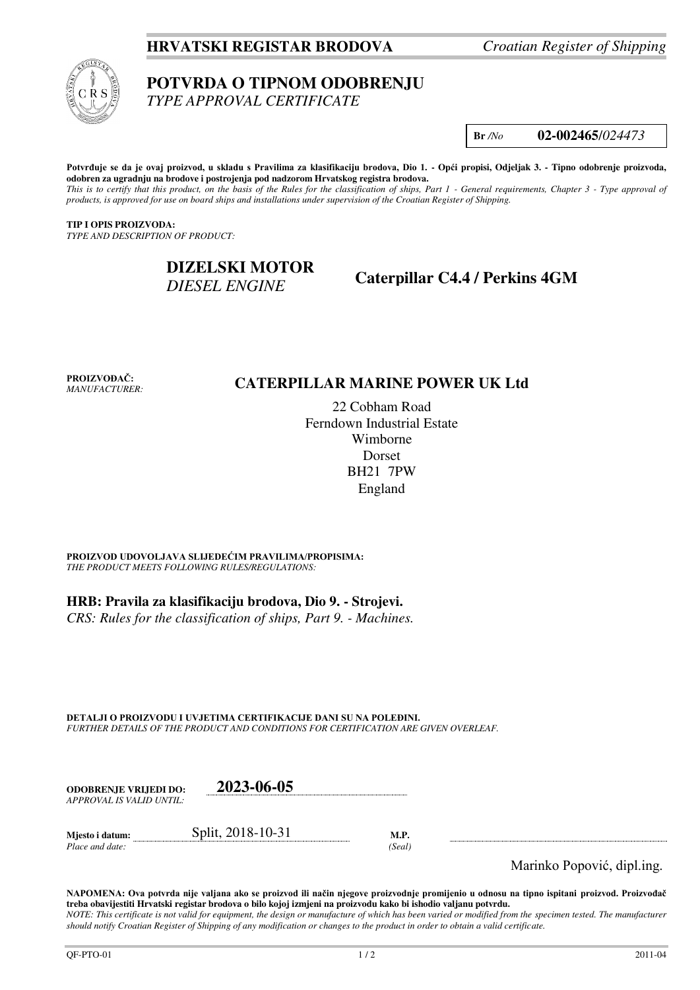## **HRVATSKI REGISTAR BRODOVA** *Croatian Register of Shipping*



# **POTVRDA O TIPNOM ODOBRENJU**

*TYPE APPROVAL CERTIFICATE* 

**Br** */No* **02-002465**/*024473*

**Potvrđuje se da je ovaj proizvod, u skladu s Pravilima za klasifikaciju brodova, Dio 1. - Opći propisi, Odjeljak 3. - Tipno odobrenje proizvoda, odobren za ugradnju na brodove i postrojenja pod nadzorom Hrvatskog registra brodova.**  *This is to certify that this product, on the basis of the Rules for the classification of ships, Part 1 - General requirements, Chapter 3 - Type approval of products, is approved for use on board ships and installations under supervision of the Croatian Register of Shipping.* 

**TIP I OPIS PROIZVODA:** *TYPE AND DESCRIPTION OF PRODUCT:* 

# **DIZELSKI MOTOR**  *DIESEL ENGINE*

**Caterpillar C4.4 / Perkins 4GM**

**PROIZVOĐAČ:** *MANUFACTURER:*

## **CATERPILLAR MARINE POWER UK Ltd**

22 Cobham Road Ferndown Industrial Estate Wimborne Dorset BH21 7PW England

**PROIZVOD UDOVOLJAVA SLIJEDEĆIM PRAVILIMA/PROPISIMA:** *THE PRODUCT MEETS FOLLOWING RULES/REGULATIONS:* 

**HRB: Pravila za klasifikaciju brodova, Dio 9. - Strojevi.** 

*CRS: Rules for the classification of ships, Part 9. - Machines.*

**DETALJI O PROIZVODU I UVJETIMA CERTIFIKACIJE DANI SU NA POLEĐINI.** *FURTHER DETAILS OF THE PRODUCT AND CONDITIONS FOR CERTIFICATION ARE GIVEN OVERLEAF.* 

| <b>ODOBRENJE VRLIEDI DO:</b> | 2023-06-05        |      |
|------------------------------|-------------------|------|
| APPROVAL IS VALID UNTIL:     |                   |      |
| Miesto i datum:              | Split, 2018-10-31 | M.P. |

*Place and date: (Seal)* 

Marinko Popović, dipl.ing.

**NAPOMENA: Ova potvrda nije valjana ako se proizvod ili način njegove proizvodnje promijenio u odnosu na tipno ispitani proizvod. Proizvođač treba obavijestiti Hrvatski registar brodova o bilo kojoj izmjeni na proizvodu kako bi ishodio valjanu potvrdu.**  *NOTE: This certificate is not valid for equipment, the design or manufacture of which has been varied or modified from the specimen tested. The manufacturer should notify Croatian Register of Shipping of any modification or changes to the product in order to obtain a valid certificate.*